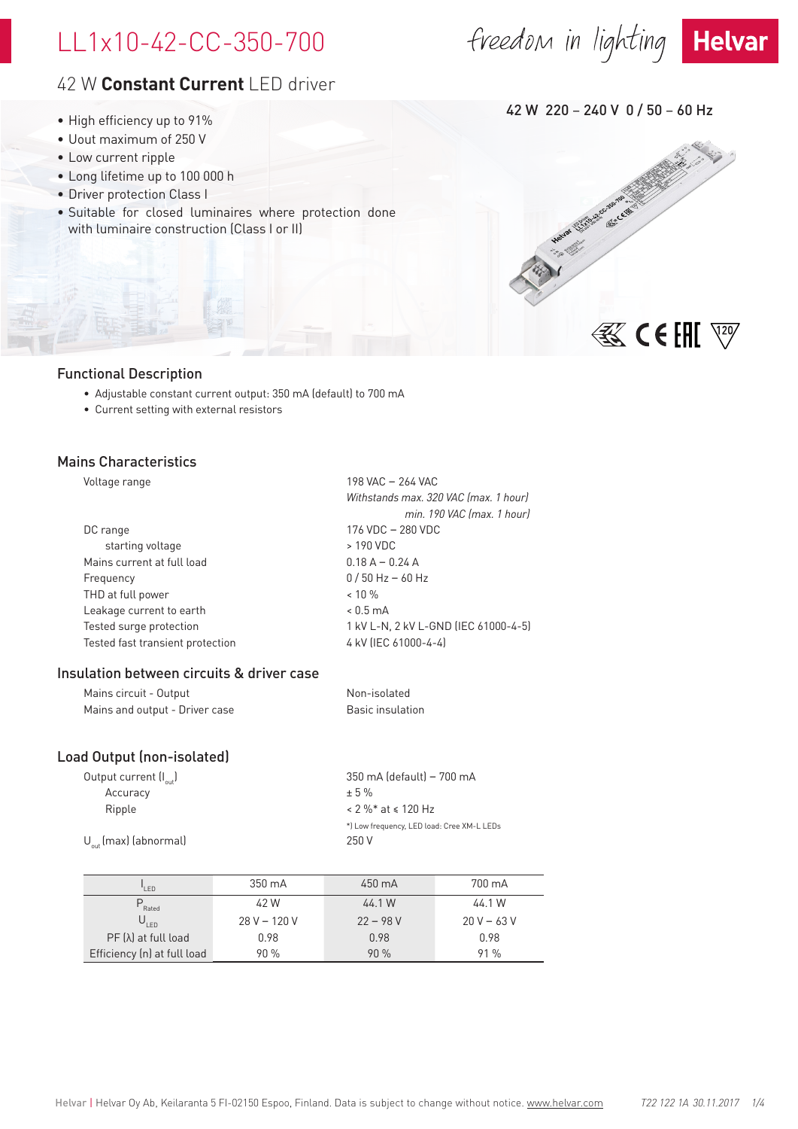# LL1x10-42-CC-350-700

# freedom in lighting Helvar



# 42 W **Constant Current** LED driver

- High efficiency up to 91%
- Uout maximum of 250 V
- Low current ripple
- Long lifetime up to 100 000 h
- Driver protection Class I
- Suitable for closed luminaires where protection done with luminaire construction (Class I or II)

- Functional Description
	- Adjustable constant current output: 350 mA (default) to 700 mA
	- Current setting with external resistors

### Mains Characteristics

| Voltage range                    | 198 VAC - 264 VAC                     |
|----------------------------------|---------------------------------------|
|                                  | Withstands max. 320 VAC (max. 1 hour) |
|                                  | min. 190 VAC (max. 1 hour)            |
| DC range                         | 176 VDC - 280 VDC                     |
| starting voltage                 | > 190 VDC                             |
| Mains current at full load       | $0.18 A - 0.24 A$                     |
| Frequency                        | $0/50$ Hz - 60 Hz                     |
| THD at full power                | $< 10 \%$                             |
| Leakage current to earth         | $< 0.5 \text{ mA}$                    |
| Tested surge protection          | 1 kV L-N, 2 kV L-GND (IEC 61000-4-5)  |
| Tested fast transient protection | 4 kV (IEC 61000-4-4)                  |
|                                  |                                       |

#### Insulation between circuits & driver case

| Mains circuit - Output         | Non-isolated     |
|--------------------------------|------------------|
| Mains and output - Driver case | Basic insulation |

### Load Output (non-isolated)

| 350 mA (default) - 700 mA                  |
|--------------------------------------------|
| $+5%$                                      |
| $< 2 \%$ * at $\le 120$ Hz                 |
| *) Low frequency, LED load: Cree XM-L LEDs |
| 250 V                                      |
|                                            |

| I FD                        | 350 mA         | 450 mA     | 700 mA        |  |  |
|-----------------------------|----------------|------------|---------------|--|--|
| Rated                       | 42 W           | 44.1 W     | 44.1 W        |  |  |
| $U_{\text{IFD}}$            | $28 V - 120 V$ | $22 - 98V$ | $20 V - 63 V$ |  |  |
| $PF(\lambda)$ at full load  | 0.98           | 0.98       | 0.98          |  |  |
| Efficiency (n) at full load | 90%            | 90%        | 91%           |  |  |

42 W 220 – 240 V 0 / 50 – 60 Hz

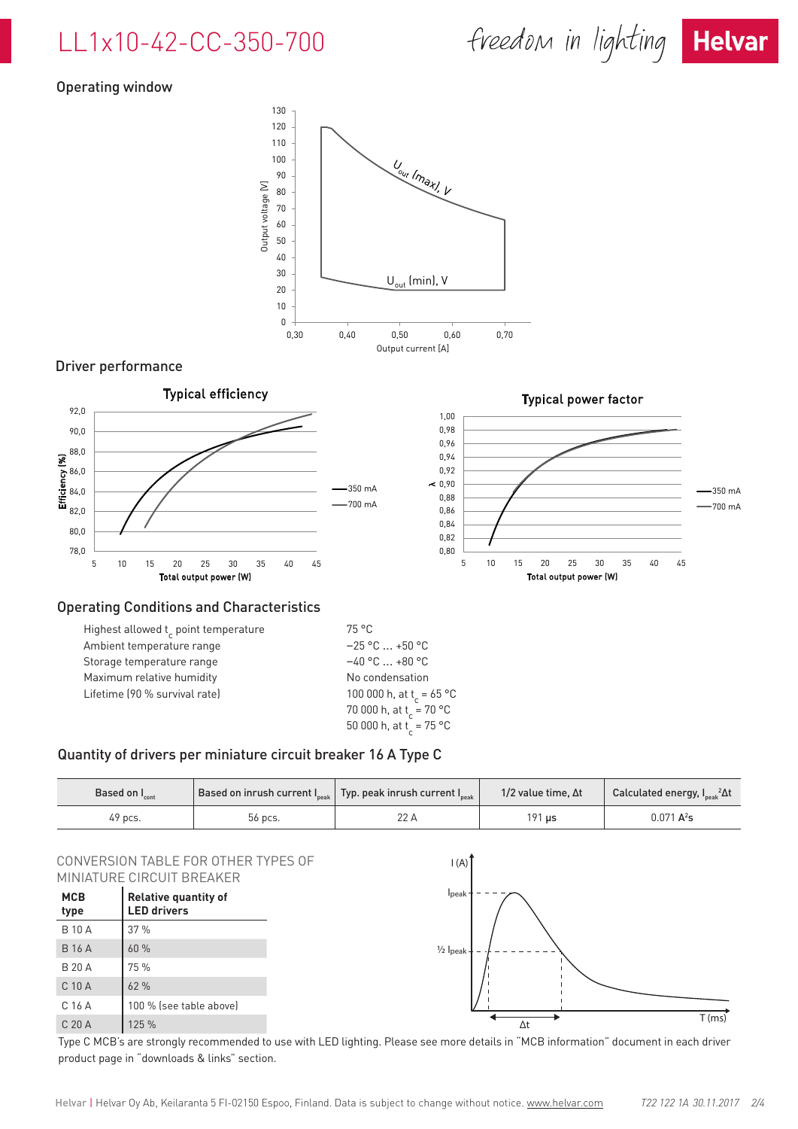# LL1x10-42-CC-350-700



## Operating window



#### Driver performance



|                               | ____________                                                               |
|-------------------------------|----------------------------------------------------------------------------|
| Storage temperature range     | $-40$ °C $\ldots$ +80 °C                                                   |
| Maximum relative humidity     | No condensation                                                            |
| Lifetime (90 % survival rate) | 100 000 h, at t <sub>r</sub> = 65 °<br>70 000 h, at t <sub>,</sub> = 70 °C |
|                               | 50 000 h, at t = 75 °C                                                     |

#### Quantity of drivers per miniature circuit breaker 16 A Type C

| Based on $I_{\text{cont}}$ |         | $^{\prime}$ Based on inrush current I $_{\textrm{\tiny peak}}\big\vert\,$ Typ. peak inrush current I $_{\textrm{\tiny peak}}\big\vert$ | 1/2 value time, $\Delta t$ | Calculated energy, I <sub>Deak</sub> <sup>2</sup> Δt |  |  |
|----------------------------|---------|----------------------------------------------------------------------------------------------------------------------------------------|----------------------------|------------------------------------------------------|--|--|
| 49 pcs.                    | 56 pcs. | ZZ A                                                                                                                                   | $191$ $\mu$ s              | $0.071 A^2s$                                         |  |  |

 $^{\circ}$ C

#### CONVERSION TABLE FOR OTHER TYPES OF MINIATURE CIRCUIT BREAKER

| <b>MCB</b><br>type | <b>Relative quantity of</b><br><b>LED drivers</b> |
|--------------------|---------------------------------------------------|
| <b>B</b> 10 A      | 37%                                               |
| <b>B</b> 16 A      | 60%                                               |
| B 20 A             | 75 %                                              |
| $C$ 10 $A$         | 62%                                               |
| C <sub>16</sub> A  | 100 % (see table above)                           |
| C <sub>20</sub> A  | 125 %                                             |



Type C MCB's are strongly recommended to use with LED lighting. Please see more details in "MCB information" document in each driver product page in "downloads & links" section.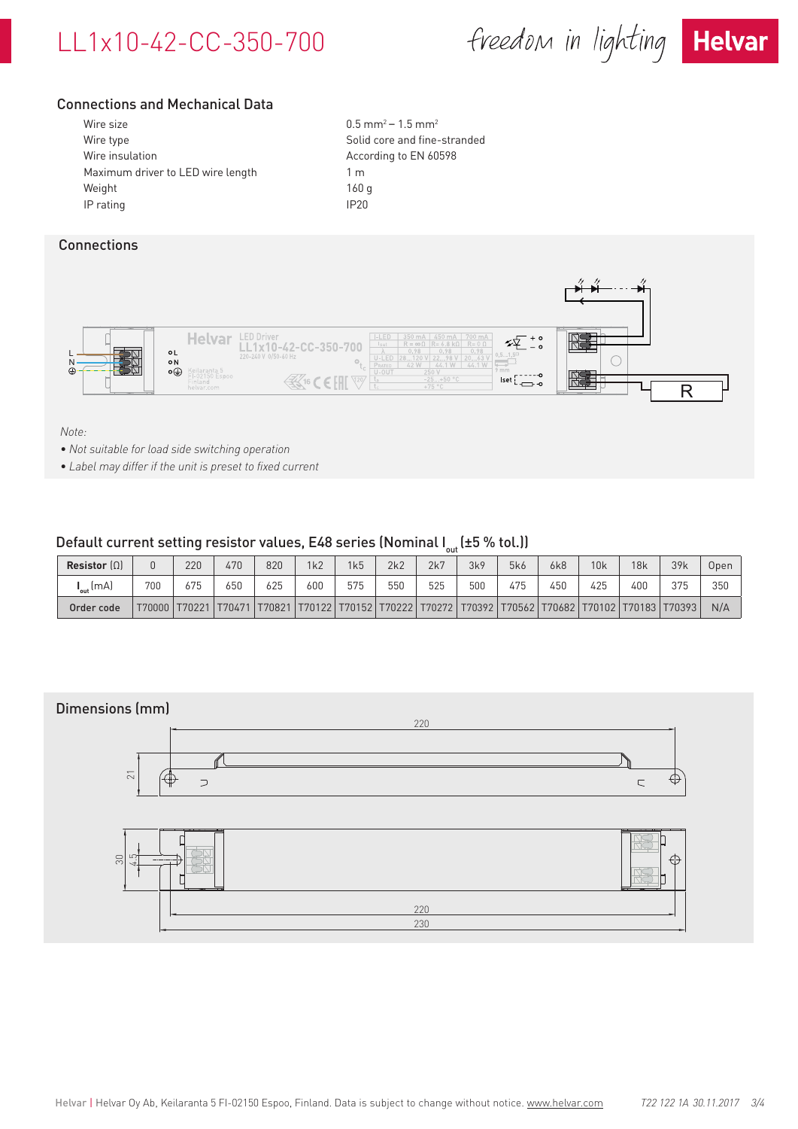# LL1x10-42-CC-350-700

freedom in lighting Helvar



## Connections and Mechanical Data

| Wire size                         | $0.5$ m        |
|-----------------------------------|----------------|
| Wire type                         | Solid          |
| Wire insulation                   | Accor          |
| Maximum driver to LED wire length | 1 <sub>m</sub> |
| Weight                            | 160q           |
| IP rating                         | IP20           |
|                                   |                |

 $0.5$  mm<sup>2</sup> – 1.5 mm<sup>2</sup> Solid core and fine-stranded According to EN 60598

### **Connections**



*Note:* 

- *• Not suitable for load side switching operation*
- *• Label may differ if the unit is preset to fixed current*

### Default current setting resistor values, E48 series (Nominal  $I_{out}$  (±5 % tol.))

|                                     |     |               |        |     |                                                                                                  |     |     | uu  |     |     |     |     |     |     |      |
|-------------------------------------|-----|---------------|--------|-----|--------------------------------------------------------------------------------------------------|-----|-----|-----|-----|-----|-----|-----|-----|-----|------|
| Resistor $( \Omega )$               |     | 220           | 470    | 820 | 1k2                                                                                              | 1k5 | 2k2 | 2k7 | 3k9 | 5k6 | 6k8 | 10k | 18k | 39k | Open |
| $\bm{\mathsf{I}}_\mathsf{out}$ (mA) | 700 | 675           | 650    | 625 | 600                                                                                              | 575 | 550 | 525 | 500 | 475 | 450 | 425 | 400 | 375 | 350  |
| Order code                          |     | T70000 T70221 | T70471 |     | 170821   170122   170152   170222   170272   170392   170562   170682   170102   170183   170393 |     |     |     |     |     |     |     |     |     | N/A  |